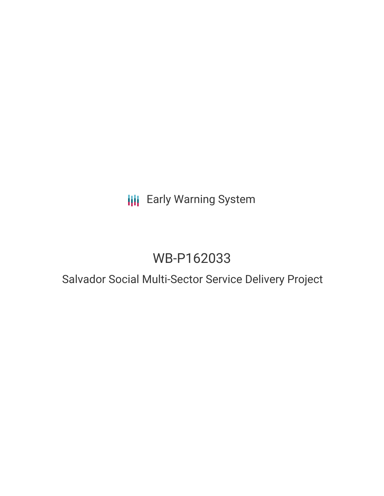# **III** Early Warning System

# WB-P162033

### Salvador Social Multi-Sector Service Delivery Project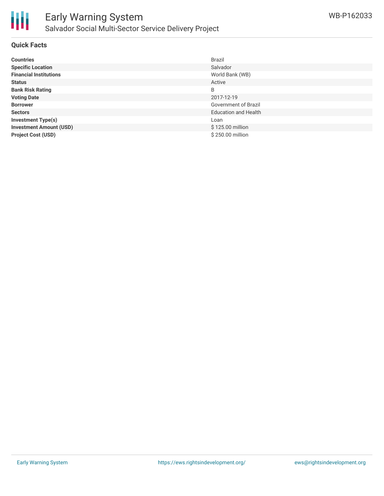

#### **Quick Facts**

| <b>Countries</b>               | Brazil                      |
|--------------------------------|-----------------------------|
| <b>Specific Location</b>       | Salvador                    |
| <b>Financial Institutions</b>  | World Bank (WB)             |
| <b>Status</b>                  | Active                      |
| <b>Bank Risk Rating</b>        | B                           |
| <b>Voting Date</b>             | 2017-12-19                  |
| <b>Borrower</b>                | Government of Brazil        |
| <b>Sectors</b>                 | <b>Education and Health</b> |
| <b>Investment Type(s)</b>      | Loan                        |
| <b>Investment Amount (USD)</b> | \$125.00 million            |
| <b>Project Cost (USD)</b>      | \$250.00 million            |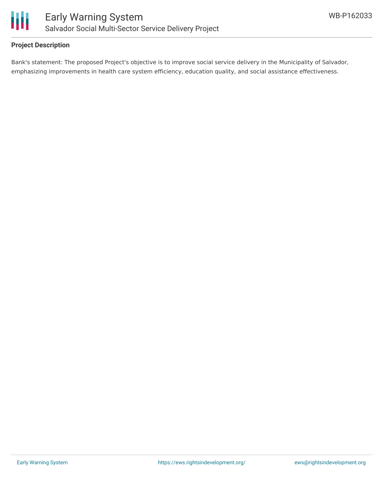

#### **Project Description**

Bank's statement: The proposed Project's objective is to improve social service delivery in the Municipality of Salvador, emphasizing improvements in health care system efficiency, education quality, and social assistance effectiveness.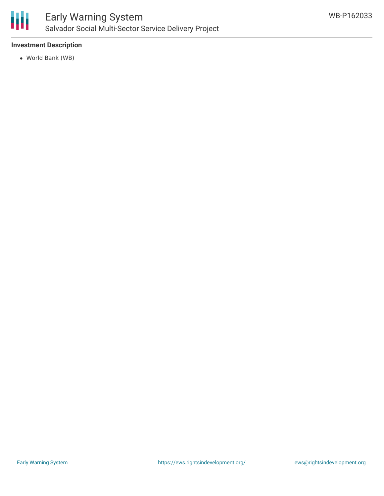

#### **Investment Description**

World Bank (WB)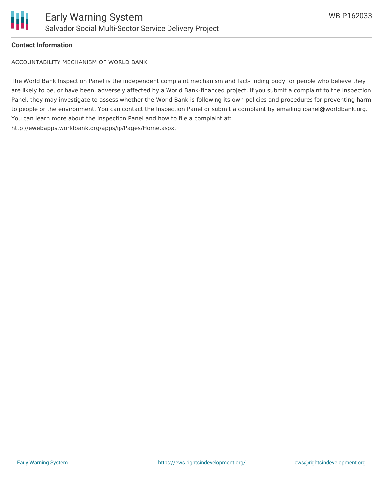

### **Contact Information**

ACCOUNTABILITY MECHANISM OF WORLD BANK

The World Bank Inspection Panel is the independent complaint mechanism and fact-finding body for people who believe they are likely to be, or have been, adversely affected by a World Bank-financed project. If you submit a complaint to the Inspection Panel, they may investigate to assess whether the World Bank is following its own policies and procedures for preventing harm to people or the environment. You can contact the Inspection Panel or submit a complaint by emailing ipanel@worldbank.org. You can learn more about the Inspection Panel and how to file a complaint at: http://ewebapps.worldbank.org/apps/ip/Pages/Home.aspx.